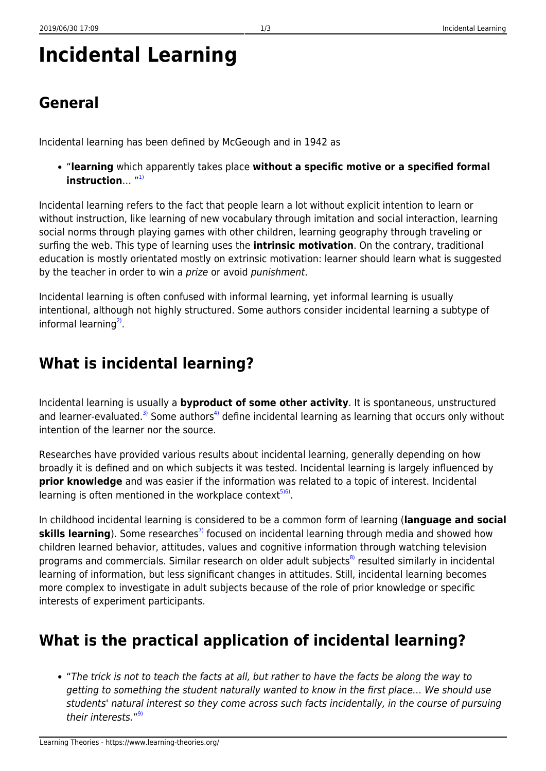# **Incidental Learning**

Incidental learning has been defined by McGeough and in 1942 as

"**learning** which apparently takes place **without a specific motive or a specified formal instruction**… "[1\)](#page--1-0)

Incidental learning refers to the fact that people learn a lot without explicit intention to learn or without instruction, like learning of new vocabulary through imitation and social interaction, learning social norms through playing games with other children, learning geography through traveling or surfing the web. This type of learning uses the **intrinsic motivation**. On the contrary, traditional education is mostly orientated mostly on extrinsic motivation: learner should learn what is suggested by the teacher in order to win a prize or avoid punishment.

Incidental learning is often confused with informal learning, yet informal learning is usually intentional, although not highly structured. Some authors consider incidental learning a subtype of informal learning<sup>[2\)](#page--1-0)</sup>.

## **What is incidental learning?**

Incidental learning is usually a **byproduct of some other activity**. It is spontaneous, unstructured and learner-evaluated.<sup>[3\)](#page--1-0)</sup> Some authors<sup>[4\)](#page--1-0)</sup> define incidental learning as learning that occurs only without intention of the learner nor the source.

Researches have provided various results about incidental learning, generally depending on how broadly it is defined and on which subjects it was tested. Incidental learning is largely influenced by **prior knowledge** and was easier if the information was related to a topic of interest. Incidental learning is often mentioned in the workplace context<sup>[5\)6\)](#page--1-0)</sup>.

In childhood incidental learning is considered to be a common form of learning (**language and social skills learning**). Some researches<sup>[7\)](#page--1-0)</sup> focused on incidental learning through media and showed how children learned behavior, attitudes, values and cognitive information through watching television programs and commercials. Similar research on older adult subjects<sup>[8\)](#page--1-0)</sup> resulted similarly in incidental learning of information, but less significant changes in attitudes. Still, incidental learning becomes more complex to investigate in adult subjects because of the role of prior knowledge or specific interests of experiment participants.

# **What is the practical application of incidental learning?**

"The trick is not to teach the facts at all, but rather to have the facts be along the way to getting to something the student naturally wanted to know in the first place… We should use students' natural interest so they come across such facts incidentally, in the course of pursuing their interests."<sup>[9\)](#page--1-0)</sup>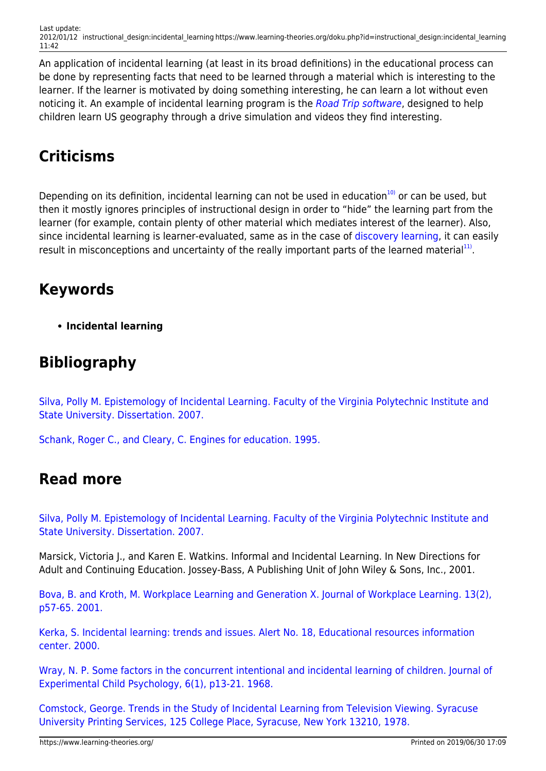An application of incidental learning (at least in its broad definitions) in the educational process can be done by representing facts that need to be learned through a material which is interesting to the learner. If the learner is motivated by doing something interesting, he can learn a lot without even noticing it. An example of incidental learning program is the [Road Trip software](http://www.engines4ed.org/hyperbook/nodes/NODE-152-pg.html), designed to help children learn US geography through a drive simulation and videos they find interesting.

# **Criticisms**

Depending on its definition, incidental learning can not be used in education $10$  or can be used, but then it mostly ignores principles of instructional design in order to "hide" the learning part from the learner (for example, contain plenty of other material which mediates interest of the learner). Also, since incidental learning is learner-evaluated, same as in the case of [discovery learning](https://www.learning-theories.org/doku.php?id=instructional_design:discovery_learning), it can easily result in misconceptions and uncertainty of the really important parts of the learned material<sup>[11\)](#page--1-0)</sup>.

#### **Keywords**

**Incidental learning**

## **Bibliography**

[Silva, Polly M. Epistemology of Incidental Learning. Faculty of the Virginia Polytechnic Institute and](http://scholar.lib.vt.edu/theses/available/etd-10162007-224008/unrestricted/silva.pdf) [State University. Dissertation. 2007.](http://scholar.lib.vt.edu/theses/available/etd-10162007-224008/unrestricted/silva.pdf)

[Schank, Roger C., and Cleary, C. Engines for education. 1995.](http://www.engines4ed.org/hyperbook/)

#### **Read more**

[Silva, Polly M. Epistemology of Incidental Learning. Faculty of the Virginia Polytechnic Institute and](http://scholar.lib.vt.edu/theses/available/etd-10162007-224008/unrestricted/silva.pdf) [State University. Dissertation. 2007.](http://scholar.lib.vt.edu/theses/available/etd-10162007-224008/unrestricted/silva.pdf)

Marsick, Victoria J., and Karen E. Watkins. Informal and Incidental Learning. In New Directions for Adult and Continuing Education. Jossey-Bass, A Publishing Unit of John Wiley & Sons, Inc., 2001.

[Bova, B. and Kroth, M. Workplace Learning and Generation X. Journal of Workplace Learning. 13\(2\),](http://www.deepdyve.com/lp/emerald-publishing/workplace-learning-and-generation-x-HAm1p3AwSd) [p57-65. 2001.](http://www.deepdyve.com/lp/emerald-publishing/workplace-learning-and-generation-x-HAm1p3AwSd)

[Kerka, S. Incidental learning: trends and issues. Alert No. 18, Educational resources information](http://www.eric.ed.gov/PDFS/ED446234.pdf) [center. 2000.](http://www.eric.ed.gov/PDFS/ED446234.pdf)

[Wray, N. P. Some factors in the concurrent intentional and incidental learning of children. Journal of](http://psycnet.apa.org/psycinfo/1968-10389-001) [Experimental Child Psychology, 6\(1\), p13-21. 1968.](http://psycnet.apa.org/psycinfo/1968-10389-001)

[Comstock, George. Trends in the Study of Incidental Learning from Television Viewing. Syracuse](http://www.eric.ed.gov/PDFS/ED168605.pdf) [University Printing Services, 125 College Place, Syracuse, New York 13210, 1978.](http://www.eric.ed.gov/PDFS/ED168605.pdf)